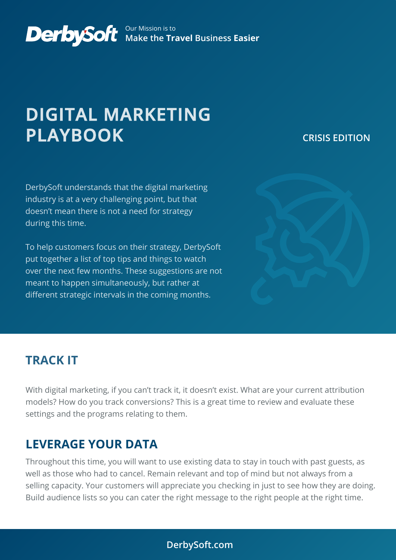#### Our Mission is to **Make the Travel Business Easier**

# **DIGITAL MARKETING PLAYBOOK**

### **CRISIS EDITION**

DerbySoft understands that the digital marketing industry is at a very challenging point, but that doesn't mean there is not a need for strategy during this time.

To help customers focus on their strategy, DerbySoft put together a list of top tips and things to watch over the next few months. These suggestions are not meant to happen simultaneously, but rather at different strategic intervals in the coming months.



### **TRACK IT**

With digital marketing, if you can't track it, it doesn't exist. What are your current attribution models? How do you track conversions? This is a great time to review and evaluate these settings and the programs relating to them.

### **LEVERAGE YOUR DATA**

Throughout this time, you will want to use existing data to stay in touch with past guests, as well as those who had to cancel. Remain relevant and top of mind but not always from a selling capacity. Your customers will appreciate you checking in just to see how they are doing. Build audience lists so you can cater the right message to the right people at the right time.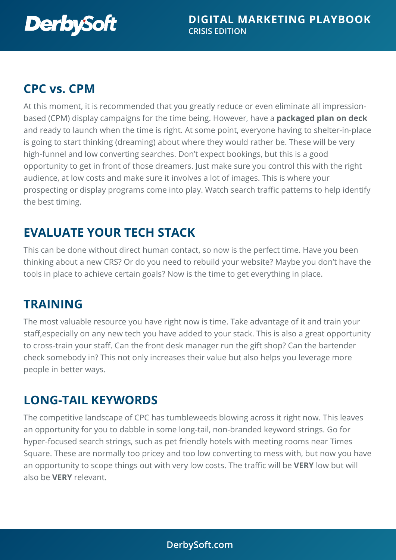

# **CPC vs. CPM**

At this moment, it is recommended that you greatly reduce or even eliminate all impressionbased (CPM) display campaigns for the time being. However, have a **packaged plan on deck** and ready to launch when the time is right. At some point, everyone having to shelter-in-place is going to start thinking (dreaming) about where they would rather be. These will be very high-funnel and low converting searches. Don't expect bookings, but this is a good opportunity to get in front of those dreamers. Just make sure you control this with the right audience, at low costs and make sure it involves a lot of images. This is where your prospecting or display programs come into play. Watch search traffic patterns to help identify the best timing.

# **EVALUATE YOUR TECH STACK**

This can be done without direct human contact, so now is the perfect time. Have you been thinking about a new CRS? Or do you need to rebuild your website? Maybe you don't have the tools in place to achieve certain goals? Now is the time to get everything in place.

# **TRAINING**

The most valuable resource you have right now is time. Take advantage of it and train your staff,especially on any new tech you have added to your stack. This is also a great opportunity to cross-train your staff. Can the front desk manager run the gift shop? Can the bartender check somebody in? This not only increases their value but also helps you leverage more people in better ways.

### **LONG-TAIL KEYWORDS**

The competitive landscape of CPC has tumbleweeds blowing across it right now. This leaves an opportunity for you to dabble in some long-tail, non-branded keyword strings. Go for hyper-focused search strings, such as pet friendly hotels with meeting rooms near Times Square. These are normally too pricey and too low converting to mess with, but now you have an opportunity to scope things out with very low costs. The traffic will be **VERY** low but will also be **VERY** relevant.